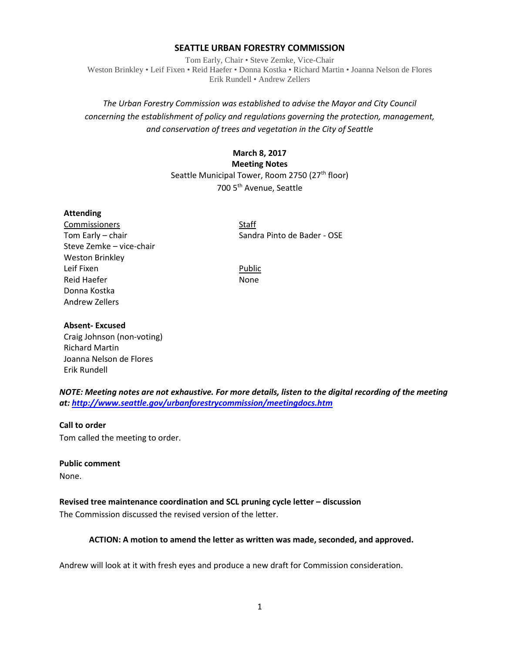## **SEATTLE URBAN FORESTRY COMMISSION**

Tom Early, Chair • Steve Zemke, Vice-Chair Weston Brinkley • Leif Fixen • Reid Haefer • Donna Kostka • Richard Martin • Joanna Nelson de Flores Erik Rundell • Andrew Zellers

# *The Urban Forestry Commission was established to advise the Mayor and City Council concerning the establishment of policy and regulations governing the protection, management, and conservation of trees and vegetation in the City of Seattle*

## **March 8, 2017**

## **Meeting Notes**

Seattle Municipal Tower, Room 2750 (27<sup>th</sup> floor)

700 5th Avenue, Seattle

### **Attending**

Commissioners Staff Steve Zemke – vice-chair Weston Brinkley Leif Fixen **Public** Reid Haefer None Donna Kostka Andrew Zellers

Tom Early – chair Sandra Pinto de Bader - OSE

### **Absent- Excused**

Craig Johnson (non-voting) Richard Martin Joanna Nelson de Flores Erik Rundell

*NOTE: Meeting notes are not exhaustive. For more details, listen to the digital recording of the meeting at:<http://www.seattle.gov/urbanforestrycommission/meetingdocs.htm>*

#### **Call to order**

Tom called the meeting to order.

#### **Public comment**

None.

## **Revised tree maintenance coordination and SCL pruning cycle letter – discussion**

The Commission discussed the revised version of the letter.

## **ACTION: A motion to amend the letter as written was made, seconded, and approved.**

Andrew will look at it with fresh eyes and produce a new draft for Commission consideration.